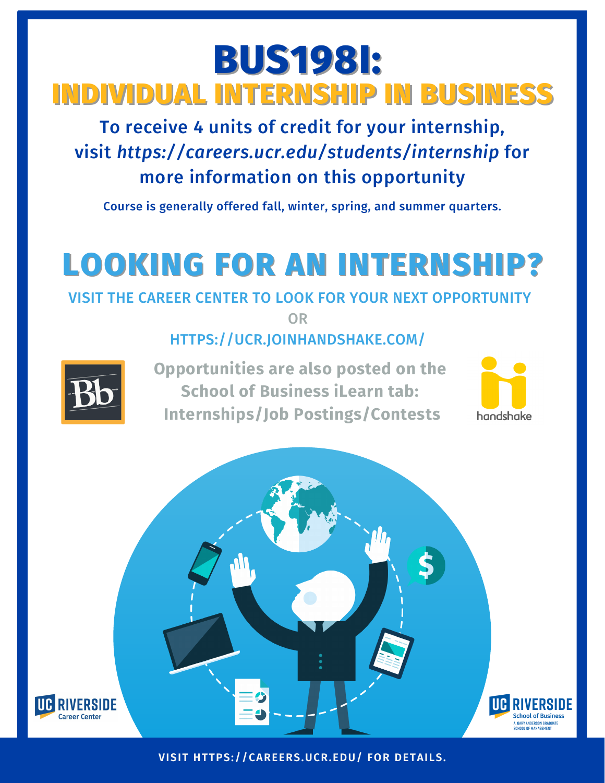## **BUS198I: INDIVIDUAL INTERNSHIP IN BUSINESS**

To receive 4 units of credit for your internship, visit *https://careers.ucr.edu/students/internship* for more information on this opportunity

Course is generally offered fall, winter, spring, and summer quarters.

# **LOOKING FOR AN INTERNSHIP?**

#### VISIT THE CAREER CENTER TO LOOK FOR YOUR NEXT OPPORTUNITY

OR

#### HTTPS://UCR.JOINHANDSHAKE.COM/



**Opportunities are also posted on the School of Business iLearn tab: Internships/Job Postings/Contests**





**VISIT HTTPS://CAREERS.UCR.EDU/ FOR DETAILS.**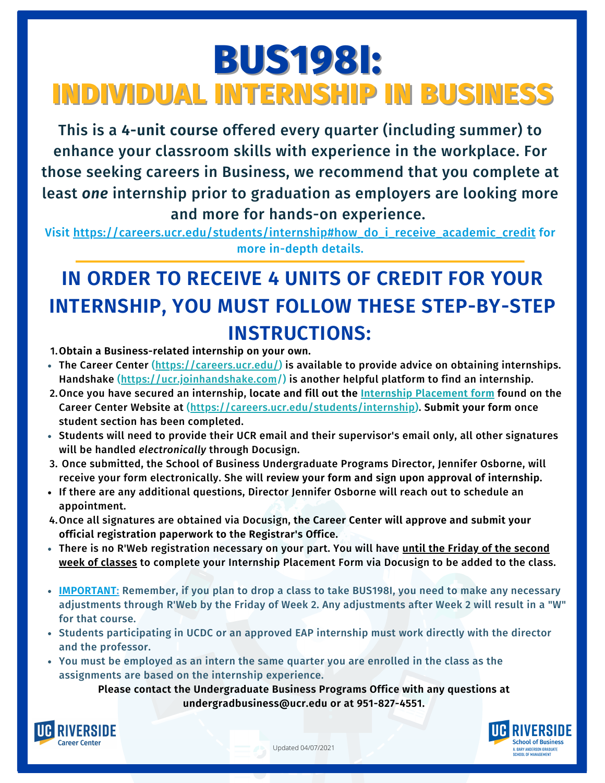### **BUS198I: INDIVIDUAL INTERNSHIP IN BUSINESS**

This is a **4-unit course** offered every quarter (including summer) to enhance your classroom skills with experience in the workplace. For those seeking careers in Business, we recommend that you complete at least *one* internship prior to graduation as employers are looking more and more for hands-on experience.

Visit [https://careers.ucr.edu/students/internship#how\\_do\\_i\\_receive\\_academic\\_credit](https://careers.ucr.edu/students/internship#how_do_i_receive_academic_credit) for more in-depth details.

### **IN ORDER TO RECEIVE 4 UNITS OF CREDIT FOR YOUR INTERNSHIP, YOU MUST FOLLOW THESE STEP-BY-STEP INSTRUCTIONS:**

**Obtain a Business-related internship on your own.** 1.

- The Career Center ([https://careers.ucr.edu/\)](https://careers.ucr.edu/) is available to provide advice on obtaining internships. Handshake [\(https://ucr.joinhandshake.com](https://ucr.joinhandshake.com/)/) is another helpful platform to find an internship.
- Once you have secured an internship, **locate and fill out the Internship [Placement](https://forms.office.com/Pages/ResponsePage.aspx?id=xCpim6aGnUGbnr-zP0XAVN8LYyeVS3pMrAHtRwuuoFdUN0o5ME41N0NIVDZHUlEySVU3T1oyQjhMRi4u) form** found on the 2. Career Center Website at (<https://careers.ucr.edu/students/internship>). **Submit your form** once student section has been completed.
- Students will need to provide their UCR email and their supervisor's email only, all other signatures will be handled *electronically* through Docusign.
- 3. Once submitted, the School of Business Undergraduate Programs Director, Jennifer Osborne, will receive your form electronically. She will **review your form and sign upon approval of internship.**
- If there are any additional questions, Director Jennifer Osborne will reach out to schedule an appointment.
- Once all signatures are obtained via Docusign, **the Career Center will approve and submit your** 4. **official registration paperwork to the Registrar's Office.**
- There is no R'Web registration necessary on your part. You will have **until the Friday of the second week of classes** to complete your Internship Placement Form via Docusign to be added to the class.
- **IMPORTANT:** Remember, if you plan to drop a class to take BUS198I, you need to make any necessary adjustments through R'Web by the Friday of Week 2. Any adjustments after Week 2 will result in a "W" for that course.
- Students participating in UCDC or an approved EAP internship must work directly with the director and the professor.
- You must be employed as an intern the same quarter you are enrolled in the class as the assignments are based on the internship experience.

**Please contact the Undergraduate Business Programs Office with any questions at undergradbusiness@ucr.edu or at 951-827-4551.**